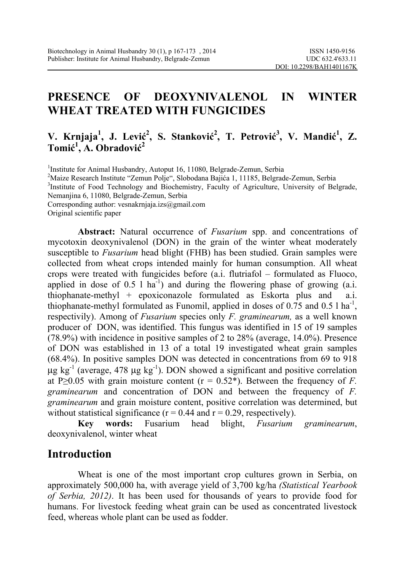# **PRESENCE OF DEOXYNIVALENOL IN WINTER WHEAT TREATED WITH FUNGICIDES**

### **V. Krnjaja<sup>1</sup>, J. Lević<sup>2</sup>, S. Stanković<sup>2</sup>, T. Petrović<sup>3</sup>, V. Mandić<sup>1</sup>, Z. Tomić 1 , A. Obradović 2**

<sup>1</sup>Institute for Animal Husbandry, Autoput 16, 11080, Belgrade-Zemun, Serbia <sup>2</sup>Maire Recepted Institute "Zemun Belie", Slabodane Beijáe 1, 11195, Belgrad <sup>2</sup>Maize Research Institute "Zemun Polje", Slobodana Bajića 1, 11185, Belgrade-Zemun, Serbia <sup>3</sup>Institute of Food Technology and Biochemistry, Faculty of Agriculture, University of Belgrade, Nemanjina 6, 11080, Belgrade-Zemun, Serbia Corresponding author: vesnakrnjaja.izs@gmail.com Original scientific paper

**Abstract:** Natural occurrence of *Fusarium* spp. and concentrations of mycotoxin deoxynivalenol (DON) in the grain of the winter wheat moderately susceptible to *Fusarium* head blight (FHB) has been studied. Grain samples were collected from wheat crops intended mainly for human consumption. All wheat crops were treated with fungicides before (a.i. flutriafol – formulated as Fluoco, applied in dose of  $0.5 \text{ l}$  ha<sup>-1</sup>) and during the flowering phase of growing (a.i. thiophanate-methyl + epoxiconazole formulated as Eskorta plus and a.i. thiophanate-methyl formulated as Funomil, applied in doses of 0.75 and 0.5 l ha<sup>-1</sup>, respectivily). Among of *Fusarium* species only *F. graminearum,* as a well known producer of DON, was identified. This fungus was identified in 15 of 19 samples (78.9%) with incidence in positive samples of 2 to 28% (average, 14.0%). Presence of DON was established in 13 of a total 19 investigated wheat grain samples (68.4%). In positive samples DON was detected in concentrations from 69 to 918 μg kg<sup>-1</sup> (average, 478 μg kg<sup>-1</sup>). DON showed a significant and positive correlation at P $\geq$ 0.05 with grain moisture content ( $r = 0.52$ <sup>\*</sup>). Between the frequency of *F*. *graminearum* and concentration of DON and between the frequency of *F. graminearum* and grain moisture content, positive correlation was determined, but without statistical significance ( $r = 0.44$  and  $r = 0.29$ , respectively).

**Key words:** Fusarium head blight, *Fusarium graminearum*, deoxynivalenol, winter wheat

## **Introduction**

Wheat is one of the most important crop cultures grown in Serbia, on approximately 500,000 ha, with average yield of 3,700 kg/ha *(Statistical Yearbook of Serbia, 2012)*. It has been used for thousands of years to provide food for humans. For livestock feeding wheat grain can be used as concentrated livestock feed, whereas whole plant can be used as fodder.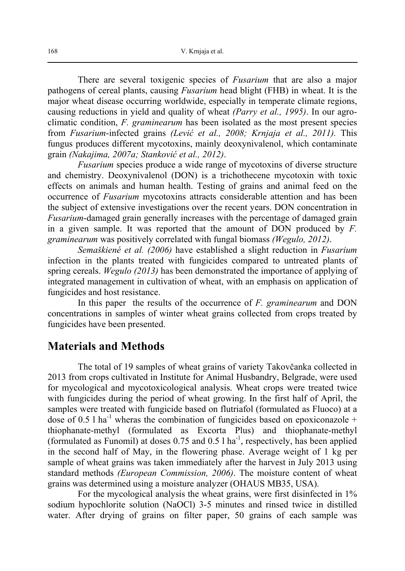There are several toxigenic species of *Fusarium* that are also a major pathogens of cereal plants, causing *Fusarium* head blight (FHB) in wheat. It is the major wheat disease occurring worldwide, especially in temperate climate regions, causing reductions in yield and quality of wheat *(Parry et al., 1995)*. In our agroclimatic condition, *F. graminearum* has been isolated as the most present species from *Fusarium*-infected grains *(Lević et al., 2008; Krnjaja et al., 2011).* This fungus produces different mycotoxins, mainly deoxynivalenol, which contaminate grain *(Nakajima, 2007a; Stanković et al., 2012)*.

*Fusarium* species produce a wide range of mycotoxins of diverse structure and chemistry. Deoxynivalenol (DON) is a trichothecene mycotoxin with toxic effects on animals and human health. Testing of grains and animal feed on the occurrence of *Fusarium* mycotoxins attracts considerable attention and has been the subject of extensive investigations over the recent years. DON concentration in *Fusarium*-damaged grain generally increases with the percentage of damaged grain in a given sample. It was reported that the amount of DON produced by *F. graminearum* was positively correlated with fungal biomass *(Wegulo, 2012)*.

*Semaškiené et al. (2006)* have established a slight reduction in *Fusarium* infection in the plants treated with fungicides compared to untreated plants of spring cereals. *Wegulo (2013)* has been demonstrated the importance of applying of integrated management in cultivation of wheat, with an emphasis on application of fungicides and host resistance.

In this paper the results of the occurrence of *F. graminearum* and DON concentrations in samples of winter wheat grains collected from crops treated by fungicides have been presented.

#### **Materials and Methods**

 The total of 19 samples of wheat grains of variety Takovčanka collected in 2013 from crops cultivated in Institute for Animal Husbandry, Belgrade, were used for mycological and mycotoxicological analysis. Wheat crops were treated twice with fungicides during the period of wheat growing. In the first half of April, the samples were treated with fungicide based on flutriafol (formulated as Fluoco) at a dose of 0.5 l ha<sup>-1</sup> wheras the combination of fungicides based on epoxiconazole + thiophanate-methyl (formulated as Excorta Plus) and thiophanate-methyl (formulated as Funomil) at doses  $0.75$  and  $0.5$  l ha<sup>-1</sup>, respectively, has been applied in the second half of May, in the flowering phase. Average weight of 1 kg per sample of wheat grains was taken immediately after the harvest in July 2013 using standard methods *(European Commission, 2006)*. The moisture content of wheat grains was determined using a moisture analyzer (OHAUS MB35, USA).

 For the mycological analysis the wheat grains, were first disinfected in 1% sodium hypochlorite solution (NaOCl) 3-5 minutes and rinsed twice in distilled water. After drying of grains on filter paper, 50 grains of each sample was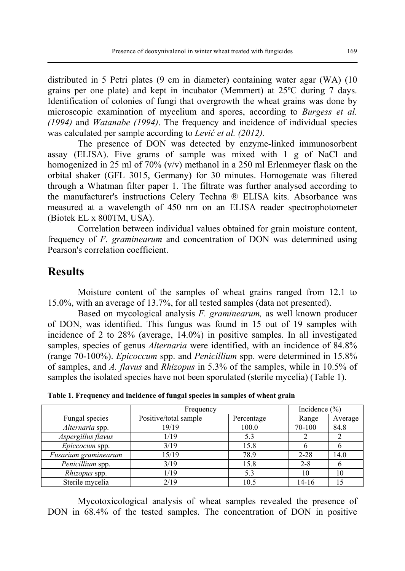distributed in 5 Petri plates (9 cm in diameter) containing water agar (WA) (10 grains per one plate) and kept in incubator (Memmert) at 25ºC during 7 days. Identification of colonies of fungi that overgrowth the wheat grains was done by microscopic examination of mycelium and spores, according to *Burgess et al. (1994)* and *Watanabe (1994)*. The frequency and incidence of individual species was calculated per sample according to *Lević et al. (2012).*

The presence of DON was detected by enzyme-linked immunosorbent assay (ELISA). Five grams of sample was mixed with 1 g of NaCl and homogenized in 25 ml of 70% (v/v) methanol in a 250 ml Erlenmeyer flask on the orbital shaker (GFL 3015, Germany) for 30 minutes. Homogenate was filtered through a Whatman filter paper 1. The filtrate was further analysed according to the manufacturer's instructions Celery Techna ® ELISA kits. Absorbance was measured at a wavelength of 450 nm on an ELISA reader spectrophotometer (Biotek EL x 800TM, USA).

Correlation between individual values obtained for grain moisture content, frequency of *F. graminearum* and concentration of DON was determined using Pearson's correlation coefficient.

### **Results**

 Moisture content of the samples of wheat grains ranged from 12.1 to 15.0%, with an average of 13.7%, for all tested samples (data not presented).

Based on mycological analysis *F. graminearum,* as well known producer of DON, was identified. This fungus was found in 15 out of 19 samples with incidence of 2 to 28% (average, 14.0%) in positive samples. In all investigated samples, species of genus *Alternaria* were identified, with an incidence of 84.8% (range 70-100%). *Epicoccum* spp. and *Penicillium* spp. were determined in 15.8% of samples, and *A. flavus* and *Rhizopus* in 5.3% of the samples, while in 10.5% of samples the isolated species have not been sporulated (sterile mycelia) (Table 1).

|                      | Frequency             |            | Incidence $(\% )$ |         |
|----------------------|-----------------------|------------|-------------------|---------|
| Fungal species       | Positive/total sample | Percentage | Range             | Average |
| Alternaria spp.      | 19/19                 | 100.0      | 70-100            | 84.8    |
| Aspergillus flavus   | 1/19                  | 5.3        |                   |         |
| Epiccocum spp.       | 3/19                  | 15.8       |                   |         |
| Fusarium graminearum | 15/19                 | 78.9       | $2 - 28$          | 14.0    |
| Penicillium spp.     | 3/19                  | 15.8       | $2 - 8$           |         |
| Rhizopus spp.        | 1/19                  | 5.3        | 10                | 10      |
| Sterile mycelia      | 2/19                  | 10.5       | 14-16             |         |

**Table 1. Frequency and incidence of fungal species in samples of wheat grain** 

Mycotoxicological analysis of wheat samples revealed the presence of DON in 68.4% of the tested samples. The concentration of DON in positive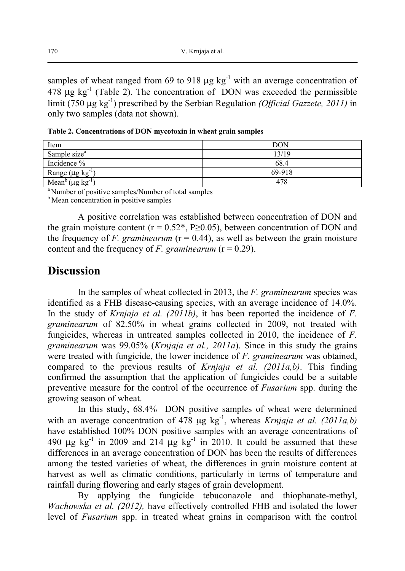samples of wheat ranged from 69 to 918  $\mu$ g kg<sup>-1</sup> with an average concentration of  $478 \mu g$  kg<sup>-1</sup> (Table 2). The concentration of DON was exceeded the permissible limit (750 μg kg-1) prescribed by the Serbian Regulation *(Official Gazzete, 2011)* in only two samples (data not shown).

**Table 2. Concentrations of DON mycotoxin in wheat grain samples** 

| Item                                     | <b>DON</b> |
|------------------------------------------|------------|
| Sample size <sup>a</sup>                 | 13/19      |
| Incidence %                              | 68.4       |
| Range ( $\mu$ g kg <sup>-1</sup> )       | 69-918     |
| Mean <sup>b</sup> (µg kg <sup>-1</sup> ) | 478        |

<sup>a</sup> Number of positive samples/Number of total samples

**b** Mean concentration in positive samples

A positive correlation was established between concentration of DON and the grain moisture content ( $r = 0.52^*$ , P $\geq 0.05$ ), between concentration of DON and the frequency of *F. graminearum* ( $r = 0.44$ ), as well as between the grain moisture content and the frequency of *F. graminearum* ( $r = 0.29$ ).

### **Discussion**

 In the samples of wheat collected in 2013, the *F. graminearum* species was identified as a FHB disease-causing species, with an average incidence of 14.0%. In the study of *Krnjaja et al. (2011b)*, it has been reported the incidence of *F. graminearum* of 82.50% in wheat grains collected in 2009, not treated with fungicides, whereas in untreated samples collected in 2010, the incidence of *F. graminearum* was 99.05% (*Krnjaja et al., 2011a*). Since in this study the grains were treated with fungicide, the lower incidence of *F. graminearum* was obtained, compared to the previous results of *Krnjaja et al. (2011a,b)*. This finding confirmed the assumption that the application of fungicides could be a suitable preventive measure for the control of the occurrence of *Fusarium* spp. during the growing season of wheat.

In this study, 68.4% DON positive samples of wheat were determined with an average concentration of 478 μg kg<sup>-1</sup>, whereas *Krnjaja et al.* (2011a,b) have established 100% DON positive samples with an average concentrations of 490 μg  $kg^{-1}$  in 2009 and 214 μg  $kg^{-1}$  in 2010. It could be assumed that these differences in an average concentration of DON has been the results of differences among the tested varieties of wheat, the differences in grain moisture content at harvest as well as climatic conditions, particularly in terms of temperature and rainfall during flowering and early stages of grain development.

By applying the fungicide tebuconazole and thiophanate-methyl, *Wachowska et al. (2012),* have effectively controlled FHB and isolated the lower level of *Fusarium* spp. in treated wheat grains in comparison with the control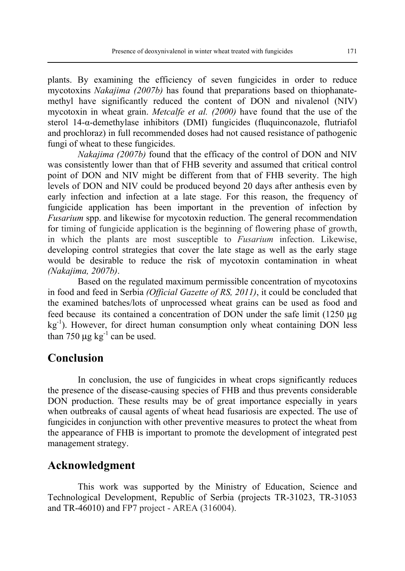plants. By examining the efficiency of seven fungicides in order to reduce mycotoxins *Nakajima (2007b)* has found that preparations based on thiophanatemethyl have significantly reduced the content of DON and nivalenol (NIV) mycotoxin in wheat grain. *Metcalfe et al. (2000)* have found that the use of the sterol 14-α-demethylase inhibitors (DMI) fungicides (fluquinconazole, flutriafol and prochloraz) in full recommended doses had not caused resistance of pathogenic fungi of wheat to these fungicides.

 *Nakajima (2007b)* found that the efficacy of the control of DON and NIV was consistently lower than that of FHB severity and assumed that critical control point of DON and NIV might be different from that of FHB severity. The high levels of DON and NIV could be produced beyond 20 days after anthesis even by early infection and infection at a late stage. For this reason, the frequency of fungicide application has been important in the prevention of infection by *Fusarium* spp. and likewise for mycotoxin reduction. The general recommendation for timing of fungicide application is the beginning of flowering phase of growth, in which the plants are most susceptible to *Fusarium* infection. Likewise, developing control strategies that cover the late stage as well as the early stage would be desirable to reduce the risk of mycotoxin contamination in wheat *(Nakajima, 2007b)*.

 Based on the regulated maximum permissible concentration of mycotoxins in food and feed in Serbia *(Official Gazette of RS, 2011)*, it could be concluded that the examined batches/lots of unprocessed wheat grains can be used as food and feed because its contained a concentration of DON under the safe limit (1250 μg  $kg<sup>-1</sup>$ ). However, for direct human consumption only wheat containing DON less than 750  $\mu$ g kg<sup>-1</sup> can be used.

### **Conclusion**

In conclusion, the use of fungicides in wheat crops significantly reduces the presence of the disease-causing species of FHB and thus prevents considerable DON production. These results may be of great importance especially in years when outbreaks of causal agents of wheat head fusariosis are expected. The use of fungicides in conjunction with other preventive measures to protect the wheat from the appearance of FHB is important to promote the development of integrated pest management strategy.

### **Acknowledgment**

This work was supported by the Ministry of Education, Science and Technological Development, Republic of Serbia (projects TR-31023, TR-31053 and TR-46010) and FP7 project - AREA (316004).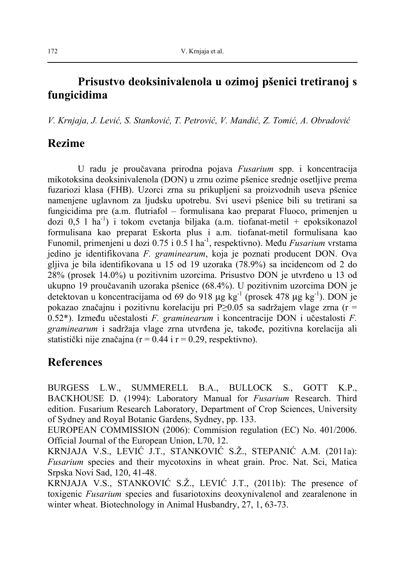## **Prisustvo deoksinivalenola u ozimoj pšenici tretiranoj s fungicidima**

*V. Krnjaja, J. Lević, S. Stanković, T. Petrović, V. Mandić, Z. Tomić, A. Obradović*

## **Rezime**

U radu je proučavana prirodna pojava *Fusarium* spp. i koncentracija mikotoksina deoksinivalenola (DON) u zrnu ozime pšenice srednje osetljive prema fuzariozi klasa (FHB). Uzorci zrna su prikupljeni sa proizvodnih useva pšenice namenjene uglavnom za ljudsku upotrebu. Svi usevi pšenice bili su tretirani sa fungicidima pre (a.m. flutriafol – formulisana kao preparat Fluoco, primenjen u dozi 0,5 l ha<sup>-1</sup>) i tokom cvetanja biljaka (a.m. tiofanat-metil + epoksikonazol formulisana kao preparat Eskorta plus i a.m. tiofanat-metil formulisana kao Funomil, primenjeni u dozi 0.75 i 0.5 l ha-1, respektivno). Među *Fusarium* vrstama jedino je identifikovana *F. graminearum*, koja je poznati producent DON. Ova gljiva je bila identifikovana u 15 od 19 uzoraka (78.9%) sa incidencom od 2 do 28% (prosek 14.0%) u pozitivnim uzorcima. Prisustvo DON je utvrđeno u 13 od ukupno 19 proučavanih uzoraka pšenice (68.4%). U pozitivnim uzorcima DON je detektovan u koncentracijama od 69 do 918 μg kg<sup>-1</sup> (prosek 478 μg kg<sup>-1</sup>). DON je pokazao značajnu i pozitivnu korelaciju pri P≥0.05 sa sadržajem vlage zrna (r = 0.52\*). Između učestalosti *F. graminearum* i koncentracije DON i učestalosti *F. graminearum* i sadržaja vlage zrna utvrđena je, takođe, pozitivna korelacija ali statistički nije značajna ( $r = 0.44$  i  $r = 0.29$ , respektivno).

## **References**

BURGESS L.W., SUMMERELL B.A., BULLOCK S., GOTT K.P., BACKHOUSE D. (1994): Laboratory Manual for *Fusarium* Research. Third edition. Fusarium Research Laboratory, Department of Crop Sciences, University of Sydney and Royal Botanic Gardens, Sydney, pp. 133.

EUROPEAN COMMISSION (2006): Commision regulation (EC) No. 401/2006. Official Journal of the European Union, L70, 12.

KRNJAJA V.S., LEVIĆ J.T., STANKOVIĆ S.Ž., STEPANIĆ A.M. (2011a): *Fusarium* species and their mycotoxins in wheat grain. Proc. Nat. Sci, Matica Srpska Novi Sad, 120, 41-48.

KRNJAJA V.S., STANKOVIĆ S.Ž., LEVIĆ J.T., (2011b): The presence of toxigenic *Fusarium* species and fusariotoxins deoxynivalenol and zearalenone in winter wheat. Biotechnology in Animal Husbandry, 27, 1, 63-73.